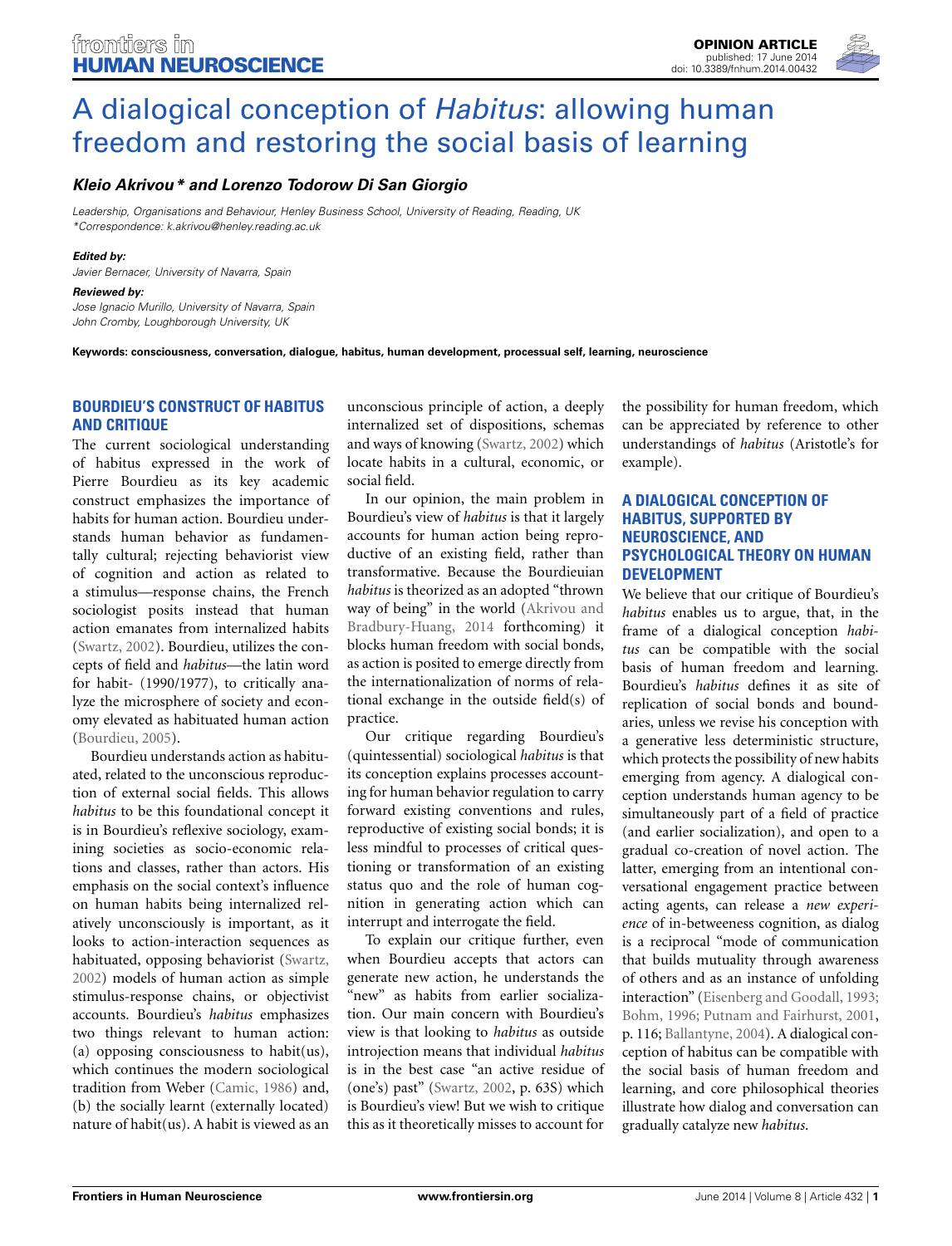

# A dialogical conception of *Habitus*: allowing human [freedom and restoring the social basis of learning](http://www.frontiersin.org/journal/10.3389/fnhum.2014.00432/full)

## *[Kleio Akrivou\\*](http://community.frontiersin.org/people/u/125686) and [Lorenzo Todorow Di San Giorgio](http://community.frontiersin.org/people/u/164318)*

*Leadership, Organisations and Behaviour, Henley Business School, University of Reading, Reading, UK \*Correspondence: [k.akrivou@henley.reading.ac.uk](mailto:k.akrivou@henley.reading.ac.uk)*

#### *Edited by:*

*Javier Bernacer, University of Navarra, Spain*

#### *Reviewed by:*

*Jose Ignacio Murillo, University of Navarra, Spain John Cromby, Loughborough University, UK*

**Keywords: consciousness, conversation, dialogue, habitus, human development, processual self, learning, neuroscience**

## **BOURDIEU'S CONSTRUCT OF HABITUS AND CRITIQUE**

The current sociological understanding of habitus expressed in the work of Pierre Bourdieu as its key academic construct emphasizes the importance of habits for human action. Bourdieu understands human behavior as fundamentally cultural; rejecting behaviorist view of cognition and action as related to a stimulus—response chains, the French sociologist posits instead that human action emanates from internalized habits [\(Swartz](#page-2-0), [2002\)](#page-2-0). Bourdieu, utilizes the concepts of field and *habitus*—the latin word for habit- (1990/1977), to critically analyze the microsphere of society and economy elevated as habituated human action [\(Bourdieu](#page-2-1), [2005](#page-2-1)).

Bourdieu understands action as habituated, related to the unconscious reproduction of external social fields. This allows *habitus* to be this foundational concept it is in Bourdieu's reflexive sociology, examining societies as socio-economic relations and classes, rather than actors. His emphasis on the social context's influence on human habits being internalized relatively unconsciously is important, as it looks to action-interaction sequences as habituated, opposing behaviorist [\(Swartz,](#page-2-0) [2002](#page-2-0)) models of human action as simple stimulus-response chains, or objectivist accounts. Bourdieu's *habitus* emphasizes two things relevant to human action: (a) opposing consciousness to habit(us), which continues the modern sociological tradition from Weber [\(Camic](#page-2-2), [1986\)](#page-2-2) and, (b) the socially learnt (externally located) nature of habit(us). A habit is viewed as an

unconscious principle of action, a deeply internalized set of dispositions, schemas and ways of knowing [\(Swartz, 2002](#page-2-0)) which locate habits in a cultural, economic, or social field.

In our opinion, the main problem in Bourdieu's view of *habitus* is that it largely accounts for human action being reproductive of an existing field, rather than transformative. Because the Bourdieuian *habitus* is theorized as an adopted "thrown way of being" in [the world \(](#page-2-3)Akrivou and Bradbury-Huang, [2014](#page-2-3) forthcoming) it blocks human freedom with social bonds, as action is posited to emerge directly from the internationalization of norms of relational exchange in the outside field(s) of practice.

Our critique regarding Bourdieu's (quintessential) sociological *habitus* is that its conception explains processes accounting for human behavior regulation to carry forward existing conventions and rules, reproductive of existing social bonds; it is less mindful to processes of critical questioning or transformation of an existing status quo and the role of human cognition in generating action which can interrupt and interrogate the field.

To explain our critique further, even when Bourdieu accepts that actors can generate new action, he understands the "new" as habits from earlier socialization. Our main concern with Bourdieu's view is that looking to *habitus* as outside introjection means that individual *habitus* is in the best case "an active residue of (one's) past" [\(Swartz, 2002](#page-2-0), p. 63S) which is Bourdieu's view! But we wish to critique this as it theoretically misses to account for

the possibility for human freedom, which can be appreciated by reference to other understandings of *habitus* (Aristotle's for example).

## **A DIALOGICAL CONCEPTION OF HABITUS, SUPPORTED BY NEUROSCIENCE, AND PSYCHOLOGICAL THEORY ON HUMAN DEVELOPMENT**

We believe that our critique of Bourdieu's *habitus* enables us to argue, that, in the frame of a dialogical conception *habitus* can be compatible with the social basis of human freedom and learning. Bourdieu's *habitus* defines it as site of replication of social bonds and boundaries, unless we revise his conception with a generative less deterministic structure, which protects the possibility of new habits emerging from agency. A dialogical conception understands human agency to be simultaneously part of a field of practice (and earlier socialization), and open to a gradual co-creation of novel action. The latter, emerging from an intentional conversational engagement practice between acting agents, can release a *new experience* of in-betweeness cognition, as dialog is a reciprocal "mode of communication that builds mutuality through awareness of others and as an instance of unfolding interaction" [\(Eisenberg and Goodall](#page-2-4), [1993;](#page-2-4) [Bohm, 1996](#page-2-5); [Putnam and Fairhurst, 2001,](#page-2-6) p. 116; [Ballantyne](#page-2-7), [2004\)](#page-2-7). A dialogical conception of habitus can be compatible with the social basis of human freedom and learning, and core philosophical theories illustrate how dialog and conversation can gradually catalyze new *habitus*.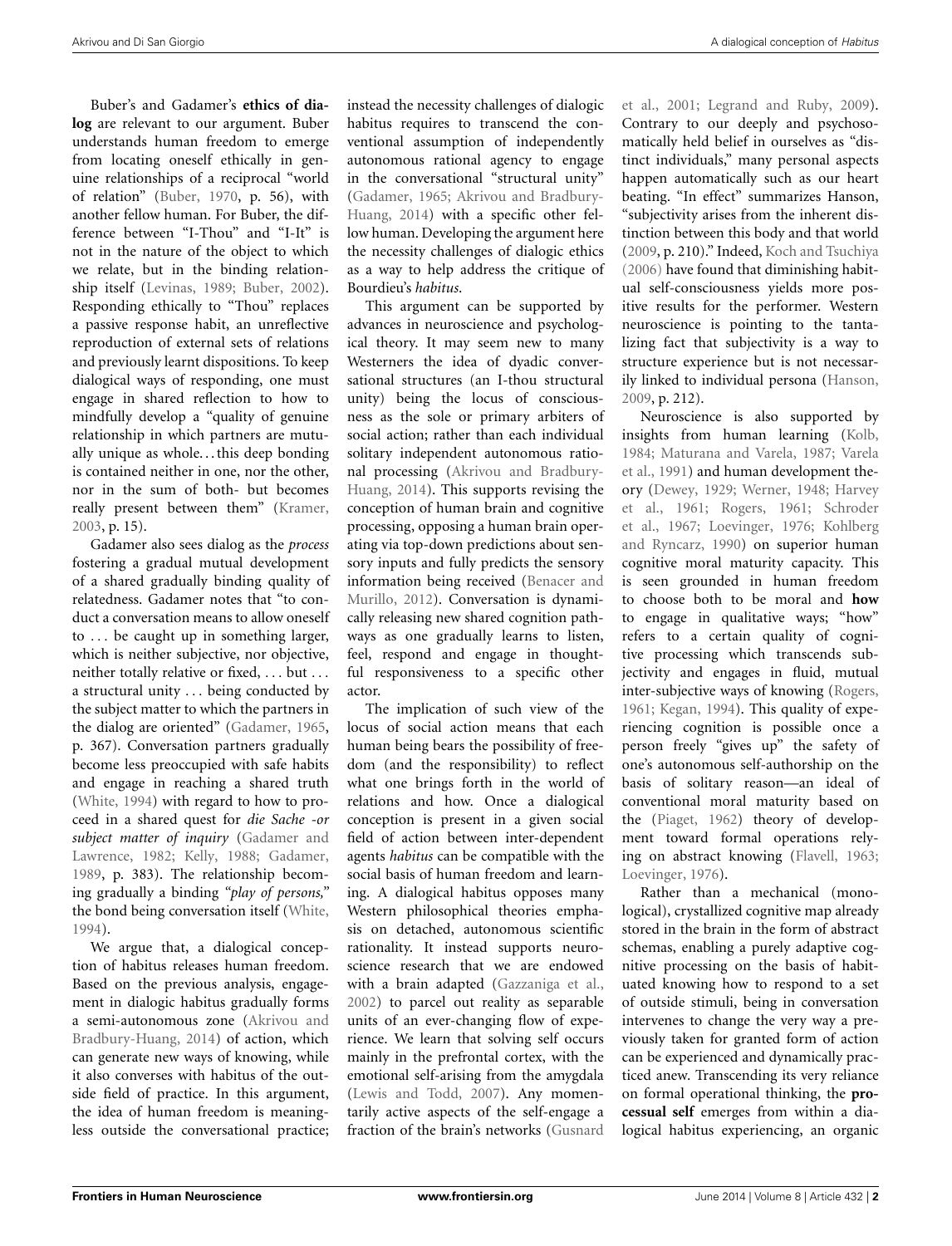Buber's and Gadamer's **ethics of dialog** are relevant to our argument. Buber understands human freedom to emerge from locating oneself ethically in genuine relationships of a reciprocal "world of relation" [\(Buber, 1970,](#page-2-8) p. 56), with another fellow human. For Buber, the difference between "I-Thou" and "I-It" is not in the nature of the object to which we relate, but in the binding relationship itself [\(Levinas](#page-2-9), [1989](#page-2-9); [Buber](#page-2-10), [2002](#page-2-10)). Responding ethically to "Thou" replaces a passive response habit, an unreflective reproduction of external sets of relations and previously learnt dispositions. To keep dialogical ways of responding, one must engage in shared reflection to how to mindfully develop a "quality of genuine relationship in which partners are mutually unique as whole. . . this deep bonding is contained neither in one, nor the other, nor in the sum of both- but becomes really present between them" [\(Kramer](#page-2-11), [2003](#page-2-11), p. 15).

Gadamer also sees dialog as the *process* fostering a gradual mutual development of a shared gradually binding quality of relatedness. Gadamer notes that "to conduct a conversation means to allow oneself to *...* be caught up in something larger, which is neither subjective, nor objective, neither totally relative or fixed, *...* but *...* a structural unity *...* being conducted by the subject matter to which the partners in the dialog are oriented" [\(Gadamer, 1965,](#page-2-12) p. 367). Conversation partners gradually become less preoccupied with safe habits and engage in reaching a shared truth [\(White, 1994](#page-3-0)) with regard to how to proceed in a shared quest for *die Sache -or subject [matter](#page-2-13) [of](#page-2-13) [inquiry](#page-2-13)* (Gadamer and Lawrence, [1982](#page-2-13); [Kelly](#page-2-14), [1988](#page-2-14); [Gadamer,](#page-2-15) [1989](#page-2-15), p. 383). The relationship becoming gradually a binding *"play of persons,"* the bond being conversation itself [\(White,](#page-3-0) [1994](#page-3-0)).

We argue that, a dialogical conception of habitus releases human freedom. Based on the previous analysis, engagement in dialogic habitus gradually forms a semi-autonom[ous zone \(](#page-2-3)Akrivou and Bradbury-Huang, [2014\)](#page-2-3) of action, which can generate new ways of knowing, while it also converses with habitus of the outside field of practice. In this argument, the idea of human freedom is meaningless outside the conversational practice; instead the necessity challenges of dialogic habitus requires to transcend the conventional assumption of independently autonomous rational agency to engage in the conversational "structural unity" [\(Gadamer](#page-2-12)[,](#page-2-3) [1965](#page-2-12)[;](#page-2-3) Akrivou and Bradbury-Huang, [2014](#page-2-3)) with a specific other fellow human. Developing the argument here the necessity challenges of dialogic ethics as a way to help address the critique of Bourdieu's *habitus*.

This argument can be supported by advances in neuroscience and psychological theory. It may seem new to many Westerners the idea of dyadic conversational structures (an I-thou structural unity) being the locus of consciousness as the sole or primary arbiters of social action; rather than each individual solitary independent autonomous rational pr[ocessing \(](#page-2-3)Akrivou and Bradbury-Huang, [2014\)](#page-2-3). This supports revising the conception of human brain and cognitive processing, opposing a human brain operating via top-down predictions about sensory inputs and fully predicts the sensory inform[ation being received \(](#page-2-16)Benacer and Murillo, [2012\)](#page-2-16). Conversation is dynamically releasing new shared cognition pathways as one gradually learns to listen, feel, respond and engage in thoughtful responsiveness to a specific other actor.

The implication of such view of the locus of social action means that each human being bears the possibility of freedom (and the responsibility) to reflect what one brings forth in the world of relations and how. Once a dialogical conception is present in a given social field of action between inter-dependent agents *habitus* can be compatible with the social basis of human freedom and learning. A dialogical habitus opposes many Western philosophical theories emphasis on detached, autonomous scientific rationality. It instead supports neuroscience research that we are endowed with a brain adapted [\(Gazzanig](#page-2-17)[a et al.,](#page-2-19) [2002](#page-2-17)) to parcel out reality as separable units of an ever-changing flow of experience. We learn that solving self occurs mainly in the prefrontal cortex, with the emotional self-arising from the amygdala [\(Lewis and Todd, 2007\)](#page-2-18). Any momentarily active aspects of the self-engage a fraction of the brain's networks (Gusnard

et al., [2001](#page-2-19); [Legrand and Ruby](#page-2-20), [2009\)](#page-2-20). Contrary to our deeply and psychosomatically held belief in ourselves as "distinct individuals," many personal aspects happen automatically such as our heart beating. "In effect" summarizes Hanson, "subjectivity arises from the inherent distinction between this body and that world [\(2009,](#page-2-21) p. 210)." Indeed, [Koch and Tsuchiya](#page-2-22) [\(2006\)](#page-2-22) have found that diminishing habitual self-consciousness yields more positive results for the performer. Western neuroscience is pointing to the tantalizing fact that subjectivity is a way to structure experience but is not necessarily linked to individual persona [\(Hanson](#page-2-21), [2009](#page-2-21), p. 212).

Neuroscience is also supported by insights from human learning [\(Kolb](#page-2-23), [1984](#page-2-23)[;](#page-2-25) [Maturana and Varela](#page-2-24)[,](#page-2-25) [1987](#page-2-24)[;](#page-2-25) Varela et al., [1991](#page-2-25)) and human development theory [\(Dewey, 1929;](#page-2-26) [Werner](#page-3-1)[,](#page-2-27) [1948;](#page-3-1) Harvey et a[l.,](#page-2-29) [1961](#page-2-27)[;](#page-2-29) [Rogers](#page-2-28)[,](#page-2-29) [1961](#page-2-28)[;](#page-2-29) Schroder et al., [1967;](#page-2-29) [Loevinger](#page-2-30)[,](#page-2-31) [1976](#page-2-30)[;](#page-2-31) Kohlberg and Ryncarz, [1990\)](#page-2-31) on superior human cognitive moral maturity capacity. This is seen grounded in human freedom to choose both to be moral and **how** to engage in qualitative ways; "how" refers to a certain quality of cognitive processing which transcends subjectivity and engages in fluid, mutual inter-subjective ways of knowing [\(Rogers](#page-2-28), [1961](#page-2-28); [Kegan](#page-2-32), [1994\)](#page-2-32). This quality of experiencing cognition is possible once a person freely "gives up" the safety of one's autonomous self-authorship on the basis of solitary reason—an ideal of conventional moral maturity based on the [\(Piaget](#page-2-33), [1962](#page-2-33)) theory of development toward formal operations relying on abstract knowing [\(Flavell, 1963](#page-2-34); [Loevinger](#page-2-30), [1976\)](#page-2-30).

Rather than a mechanical (monological), crystallized cognitive map already stored in the brain in the form of abstract schemas, enabling a purely adaptive cognitive processing on the basis of habituated knowing how to respond to a set of outside stimuli, being in conversation intervenes to change the very way a previously taken for granted form of action can be experienced and dynamically practiced anew. Transcending its very reliance on formal operational thinking, the **processual self** emerges from within a dialogical habitus experiencing, an organic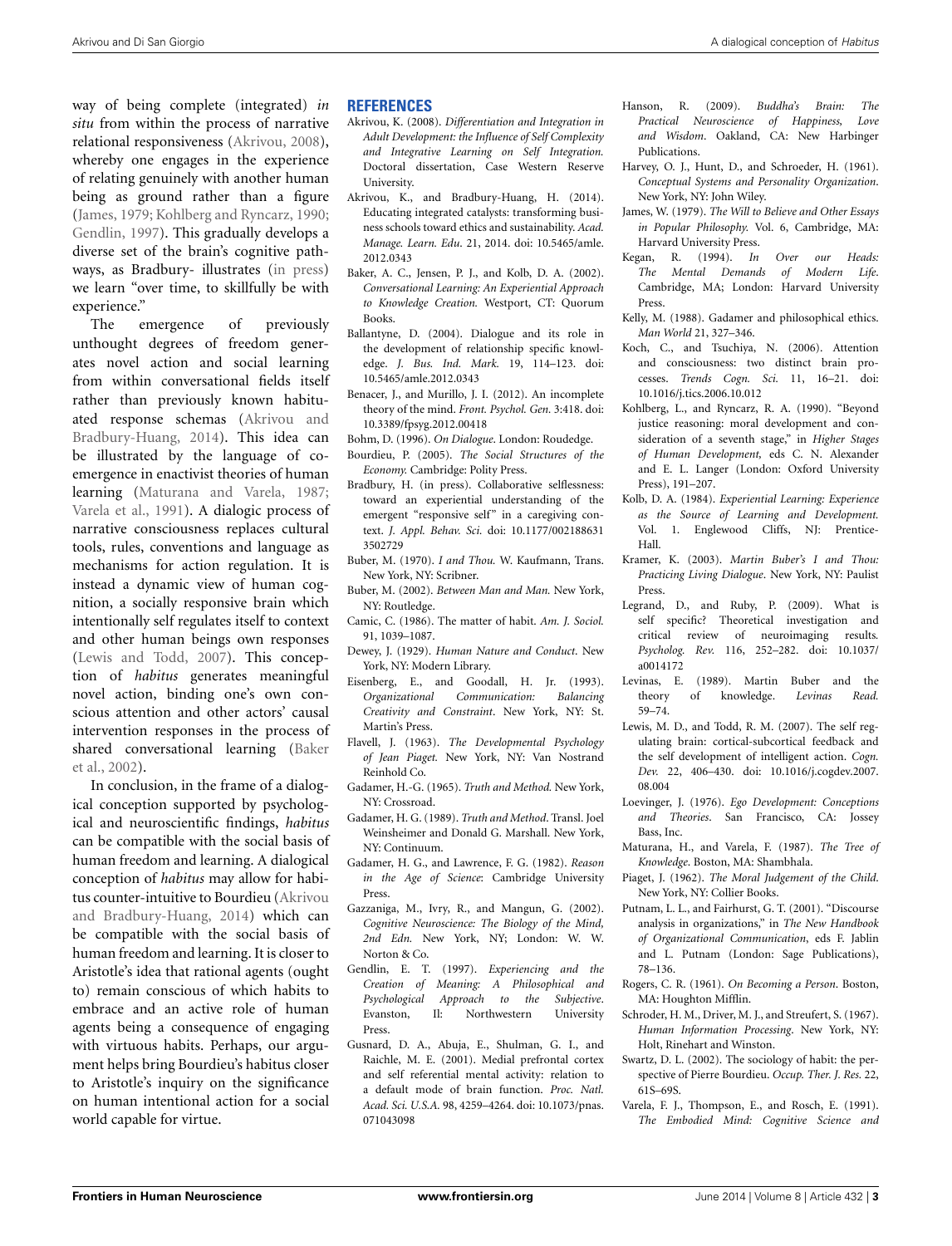way of being complete (integrated) *in situ* from within the process of narrative relational responsiveness [\(Akrivou, 2008](#page-2-35)), whereby one engages in the experience of relating genuinely with another human being as ground rather than a figure [\(James](#page-2-36), [1979](#page-2-36); [Kohlberg and Ryncarz](#page-2-31), [1990;](#page-2-31) [Gendlin](#page-2-37), [1997\)](#page-2-37). This gradually develops a diverse set of the brain's cognitive pathways, as Bradbury- illustrates [\(in press](#page-2-38)) we learn "over time, to skillfully be with experience."

The emergence of previously unthought degrees of freedom generates novel action and social learning from within conversational fields itself rather than previously known habituated response [schemas](#page-2-3) [\(](#page-2-3)Akrivou and Bradbury-Huang, [2014\)](#page-2-3). This idea can be illustrated by the language of coemergence in enactivist theories of human learning [\(Maturana and Varela](#page-2-24), [1987;](#page-2-24) [Varela et al.](#page-2-25), [1991](#page-2-25)). A dialogic process of narrative consciousness replaces cultural tools, rules, conventions and language as mechanisms for action regulation. It is instead a dynamic view of human cognition, a socially responsive brain which intentionally self regulates itself to context and other human beings own responses [\(Lewis and Todd, 2007\)](#page-2-18). This conception of *habitus* generates meaningful novel action, binding one's own conscious attention and other actors' causal intervention responses in the process of shar[ed conversational learning \(](#page-2-39)Baker et al., [2002\)](#page-2-39).

In conclusion, in the frame of a dialogical conception supported by psychological and neuroscientific findings, *habitus* can be compatible with the social basis of human freedom and learning. A dialogical conception of *habitus* may allow for habitus counter-intuitive t[o Bourdieu \(](#page-2-3)Akrivou and Bradbury-Huang, [2014\)](#page-2-3) which can be compatible with the social basis of human freedom and learning. It is closer to Aristotle's idea that rational agents (ought to) remain conscious of which habits to embrace and an active role of human agents being a consequence of engaging with virtuous habits. Perhaps, our argument helps bring Bourdieu's habitus closer to Aristotle's inquiry on the significance on human intentional action for a social world capable for virtue.

#### **REFERENCES**

- <span id="page-2-35"></span>Akrivou, K. (2008). *Differentiation and Integration in Adult Development: the Influence of Self Complexity and Integrative Learning on Self Integration.* Doctoral dissertation, Case Western Reserve University.
- <span id="page-2-3"></span>Akrivou, K., and Bradbury-Huang, H. (2014). Educating integrated catalysts: transforming business schools toward ethics and sustainability. *Acad. Manage. Learn. Edu*. 21, 2014. doi: 10.5465/amle. 2012.0343
- <span id="page-2-39"></span>Baker, A. C., Jensen, P. J., and Kolb, D. A. (2002). *Conversational Learning: An Experiential Approach to Knowledge Creation.* Westport, CT: Quorum Books.
- <span id="page-2-7"></span>Ballantyne, D. (2004). Dialogue and its role in the development of relationship specific knowledge. *J. Bus. Ind. Mark.* 19, 114–123. doi: 10.5465/amle.2012.0343
- <span id="page-2-16"></span>Benacer, J., and Murillo, J. I. (2012). An incomplete theory of the mind. *Front. Psychol. Gen.* 3:418. doi: 10.3389/fpsyg.2012.00418
- <span id="page-2-5"></span>Bohm, D. (1996). *On Dialogue*. London: Roudedge.
- <span id="page-2-1"></span>Bourdieu, P. (2005). *The Social Structures of the Economy.* Cambridge: Polity Press.
- <span id="page-2-38"></span>Bradbury, H. (in press). Collaborative selflessness: toward an experiential understanding of the emergent "responsive self" in a caregiving context. *J. Appl. Behav. Sci.* doi: 10.1177/002188631 3502729
- <span id="page-2-8"></span>Buber, M. (1970). *I and Thou.* W. Kaufmann, Trans. New York, NY: Scribner.
- <span id="page-2-10"></span>Buber, M. (2002). *Between Man and Man.* New York, NY: Routledge.
- <span id="page-2-2"></span>Camic, C. (1986). The matter of habit. *Am. J. Sociol.* 91, 1039–1087.
- <span id="page-2-26"></span>Dewey, J. (1929). *Human Nature and Conduct*. New York, NY: Modern Library.
- <span id="page-2-4"></span>Eisenberg, E., and Goodall, H. Jr. (1993). *Organizational Communication: Balancing Creativity and Constraint*. New York, NY: St. Martin's Press.
- <span id="page-2-34"></span>Flavell, J. (1963). *The Developmental Psychology of Jean Piaget.* New York, NY: Van Nostrand Reinhold Co.
- <span id="page-2-12"></span>Gadamer, H.-G. (1965). *Truth and Method.* New York, NY: Crossroad.
- <span id="page-2-15"></span>Gadamer, H. G. (1989). *Truth and Method*. Transl. Joel Weinsheimer and Donald G. Marshall. New York, NY: Continuum.
- <span id="page-2-13"></span>Gadamer, H. G., and Lawrence, F. G. (1982). *Reason in the Age of Science*: Cambridge University Press.
- <span id="page-2-17"></span>Gazzaniga, M., Ivry, R., and Mangun, G. (2002). *Cognitive Neuroscience: The Biology of the Mind, 2nd Edn.* New York, NY; London: W. W. Norton & Co.
- <span id="page-2-37"></span>Gendlin, E. T. (1997). *Experiencing and the Creation of Meaning: A Philosophical and Psychological Approach to the Subjective*. Evanston, Il: Northwestern University Press.
- <span id="page-2-19"></span>Gusnard, D. A., Abuja, E., Shulman, G. I., and Raichle, M. E. (2001). Medial prefrontal cortex and self referential mental activity: relation to a default mode of brain function. *Proc. Natl. Acad. Sci. U.S.A.* 98, 4259–4264. doi: 10.1073/pnas. 071043098
- <span id="page-2-21"></span>Hanson, R. (2009). *Buddha's Brain: The Practical Neuroscience of Happiness, Love and Wisdom*. Oakland, CA: New Harbinger Publications.
- <span id="page-2-27"></span>Harvey, O. J., Hunt, D., and Schroeder, H. (1961). *Conceptual Systems and Personality Organization*. New York, NY: John Wiley.
- <span id="page-2-36"></span>James, W. (1979). *The Will to Believe and Other Essays in Popular Philosophy.* Vol. 6, Cambridge, MA: Harvard University Press.
- <span id="page-2-32"></span>Kegan, R. (1994). *In Over our Heads: The Mental Demands of Modern Life*. Cambridge, MA; London: Harvard University Press.
- <span id="page-2-14"></span>Kelly, M. (1988). Gadamer and philosophical ethics. *Man World* 21, 327–346.
- <span id="page-2-22"></span>Koch, C., and Tsuchiya, N. (2006). Attention and consciousness: two distinct brain processes. *Trends Cogn. Sci.* 11, 16–21. doi: 10.1016/j.tics.2006.10.012
- <span id="page-2-31"></span>Kohlberg, L., and Ryncarz, R. A. (1990). "Beyond justice reasoning: moral development and consideration of a seventh stage," in *Higher Stages of Human Development,* eds C. N. Alexander and E. L. Langer (London: Oxford University Press), 191–207.
- <span id="page-2-23"></span>Kolb, D. A. (1984). *Experiential Learning: Experience as the Source of Learning and Development.* Vol. 1. Englewood Cliffs, NJ: Prentice-Hall.
- <span id="page-2-11"></span>Kramer, K. (2003). *Martin Buber's I and Thou: Practicing Living Dialogue*. New York, NY: Paulist Press.
- <span id="page-2-20"></span>Legrand, D., and Ruby, P. (2009). What is self specific? Theoretical investigation and critical review of neuroimaging results*. Psycholog. Rev.* 116, 252–282. doi: 10.1037/ a0014172
- <span id="page-2-9"></span>Levinas, E. (1989). Martin Buber and the theory of knowledge. *Levinas Read.* 59–74.
- <span id="page-2-18"></span>Lewis, M. D., and Todd, R. M. (2007). The self regulating brain: cortical-subcortical feedback and the self development of intelligent action. *Cogn. Dev.* 22, 406–430. doi: 10.1016/j.cogdev.2007. 08.004
- <span id="page-2-30"></span>Loevinger, J. (1976). *Ego Development: Conceptions and Theories*. San Francisco, CA: Jossey Bass, Inc.
- <span id="page-2-24"></span>Maturana, H., and Varela, F. (1987). *The Tree of Knowledge*. Boston, MA: Shambhala.
- <span id="page-2-33"></span>Piaget, J. (1962). *The Moral Judgement of the Child*. New York, NY: Collier Books.
- <span id="page-2-6"></span>Putnam, L. L., and Fairhurst, G. T. (2001). "Discourse analysis in organizations," in *The New Handbook of Organizational Communication*, eds F. Jablin and L. Putnam (London: Sage Publications), 78–136.
- <span id="page-2-28"></span>Rogers, C. R. (1961). *On Becoming a Person*. Boston, MA: Houghton Mifflin.
- <span id="page-2-29"></span>Schroder, H. M., Driver, M. J., and Streufert, S. (1967). *Human Information Processing*. New York, NY: Holt, Rinehart and Winston.
- <span id="page-2-0"></span>Swartz, D. L. (2002). The sociology of habit: the perspective of Pierre Bourdieu. *Occup. Ther. J. Res.* 22, 61S–69S.
- <span id="page-2-25"></span>Varela, F. J., Thompson, E., and Rosch, E. (1991). *The Embodied Mind: Cognitive Science and*